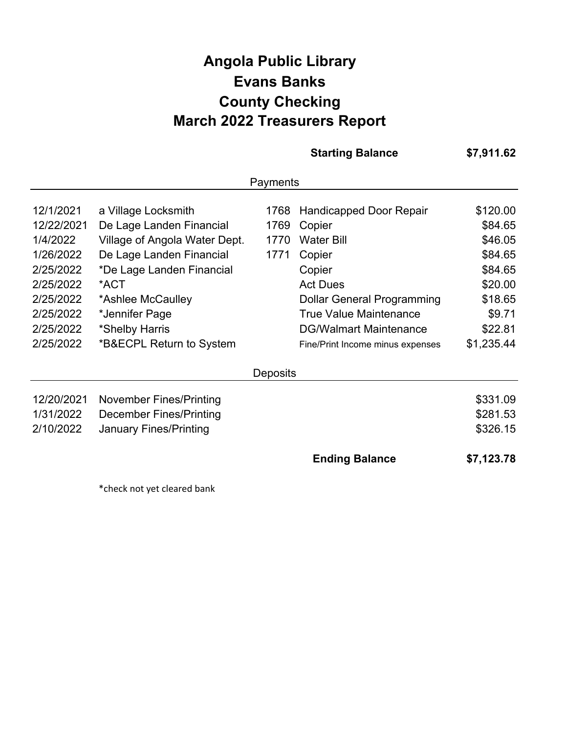## **Angola Public Library March 2022 Treasurers Report Evans Banks County Checking**

|                                                                                                      |                                                                                                                                                                                          |                              | <b>Starting Balance</b>                                                                                                                                             | \$7,911.62                                                                           |
|------------------------------------------------------------------------------------------------------|------------------------------------------------------------------------------------------------------------------------------------------------------------------------------------------|------------------------------|---------------------------------------------------------------------------------------------------------------------------------------------------------------------|--------------------------------------------------------------------------------------|
|                                                                                                      |                                                                                                                                                                                          | Payments                     |                                                                                                                                                                     |                                                                                      |
| 12/1/2021<br>12/22/2021<br>1/4/2022<br>1/26/2022<br>2/25/2022<br>2/25/2022<br>2/25/2022<br>2/25/2022 | a Village Locksmith<br>De Lage Landen Financial<br>Village of Angola Water Dept.<br>De Lage Landen Financial<br>*De Lage Landen Financial<br>*ACT<br>*Ashlee McCaulley<br>*Jennifer Page | 1768<br>1769<br>1770<br>1771 | Handicapped Door Repair<br>Copier<br><b>Water Bill</b><br>Copier<br>Copier<br><b>Act Dues</b><br><b>Dollar General Programming</b><br><b>True Value Maintenance</b> | \$120.00<br>\$84.65<br>\$46.05<br>\$84.65<br>\$84.65<br>\$20.00<br>\$18.65<br>\$9.71 |
| 2/25/2022<br>2/25/2022                                                                               | *Shelby Harris<br>*B&ECPL Return to System                                                                                                                                               | <b>Deposits</b>              | <b>DG/Walmart Maintenance</b><br>Fine/Print Income minus expenses                                                                                                   | \$22.81<br>\$1,235.44                                                                |
| 12/20/2021<br>1/31/2022<br>2/10/2022                                                                 | <b>November Fines/Printing</b><br><b>December Fines/Printing</b><br><b>January Fines/Printing</b>                                                                                        |                              |                                                                                                                                                                     | \$331.09<br>\$281.53<br>\$326.15                                                     |
|                                                                                                      |                                                                                                                                                                                          |                              | <b>Ending Balance</b>                                                                                                                                               | \$7,123.78                                                                           |

\*check not yet cleared bank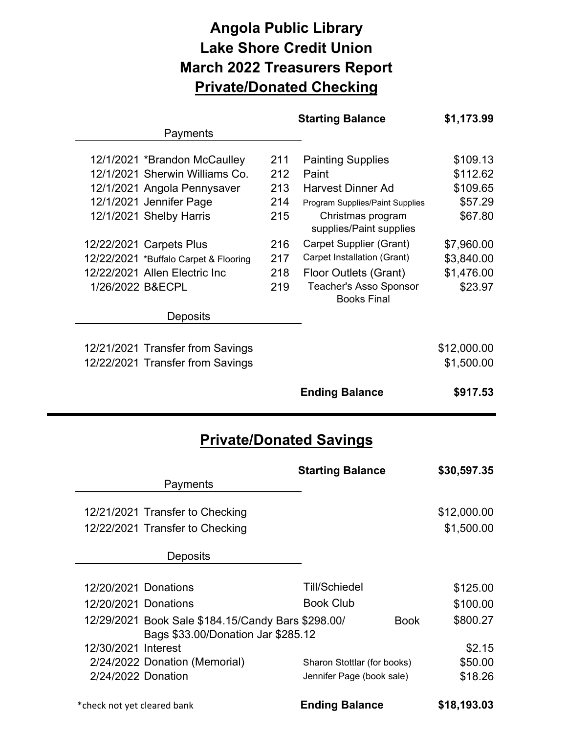## **Angola Public Library Lake Shore Credit Union March 2022 Treasurers Report Private/Donated Checking**

|                      |                                                                                          |     | <b>Starting Balance</b>                             |             | \$1,173.99  |
|----------------------|------------------------------------------------------------------------------------------|-----|-----------------------------------------------------|-------------|-------------|
|                      | Payments                                                                                 |     |                                                     |             |             |
|                      | 12/1/2021 *Brandon McCaulley                                                             | 211 | <b>Painting Supplies</b>                            |             | \$109.13    |
|                      | 12/1/2021 Sherwin Williams Co.                                                           | 212 | Paint                                               |             | \$112.62    |
|                      | 12/1/2021 Angola Pennysaver                                                              | 213 | <b>Harvest Dinner Ad</b>                            |             | \$109.65    |
|                      | 12/1/2021 Jennifer Page                                                                  | 214 | Program Supplies/Paint Supplies                     |             | \$57.29     |
|                      | 12/1/2021 Shelby Harris                                                                  | 215 | Christmas program<br>supplies/Paint supplies        |             | \$67.80     |
|                      | 12/22/2021 Carpets Plus                                                                  | 216 | Carpet Supplier (Grant)                             |             | \$7,960.00  |
|                      | 12/22/2021 *Buffalo Carpet & Flooring                                                    | 217 | Carpet Installation (Grant)                         |             | \$3,840.00  |
|                      | 12/22/2021 Allen Electric Inc                                                            | 218 | Floor Outlets (Grant)                               |             | \$1,476.00  |
|                      | 1/26/2022 B&ECPL                                                                         | 219 | <b>Teacher's Asso Sponsor</b><br><b>Books Final</b> |             | \$23.97     |
|                      | <b>Deposits</b>                                                                          |     |                                                     |             |             |
|                      |                                                                                          |     |                                                     |             |             |
|                      | 12/21/2021 Transfer from Savings                                                         |     |                                                     |             | \$12,000.00 |
|                      | 12/22/2021 Transfer from Savings                                                         |     |                                                     |             | \$1,500.00  |
|                      |                                                                                          |     | <b>Ending Balance</b>                               |             | \$917.53    |
|                      |                                                                                          |     |                                                     |             |             |
|                      |                                                                                          |     |                                                     |             |             |
|                      |                                                                                          |     | <b>Private/Donated Savings</b>                      |             |             |
|                      |                                                                                          |     |                                                     |             |             |
|                      | Payments                                                                                 |     | <b>Starting Balance</b>                             |             | \$30,597.35 |
|                      |                                                                                          |     |                                                     |             |             |
|                      | 12/21/2021 Transfer to Checking                                                          |     |                                                     |             | \$12,000.00 |
|                      | 12/22/2021 Transfer to Checking                                                          |     |                                                     |             | \$1,500.00  |
|                      | <b>Deposits</b>                                                                          |     |                                                     |             |             |
|                      |                                                                                          |     |                                                     |             |             |
| 12/20/2021 Donations |                                                                                          |     | <b>Till/Schiedel</b>                                |             | \$125.00    |
| 12/20/2021 Donations |                                                                                          |     | <b>Book Club</b>                                    |             | \$100.00    |
|                      | 12/29/2021 Book Sale \$184.15/Candy Bars \$298.00/<br>Bags \$33.00/Donation Jar \$285.12 |     |                                                     | <b>Book</b> | \$800.27    |
| 12/30/2021 Interest  |                                                                                          |     |                                                     |             | \$2.15      |
|                      | 2/24/2022 Donation (Memorial)                                                            |     | Sharon Stottlar (for books)                         |             | \$50.00     |
|                      | 2/24/2022 Donation                                                                       |     | Jennifer Page (book sale)                           |             | \$18.26     |